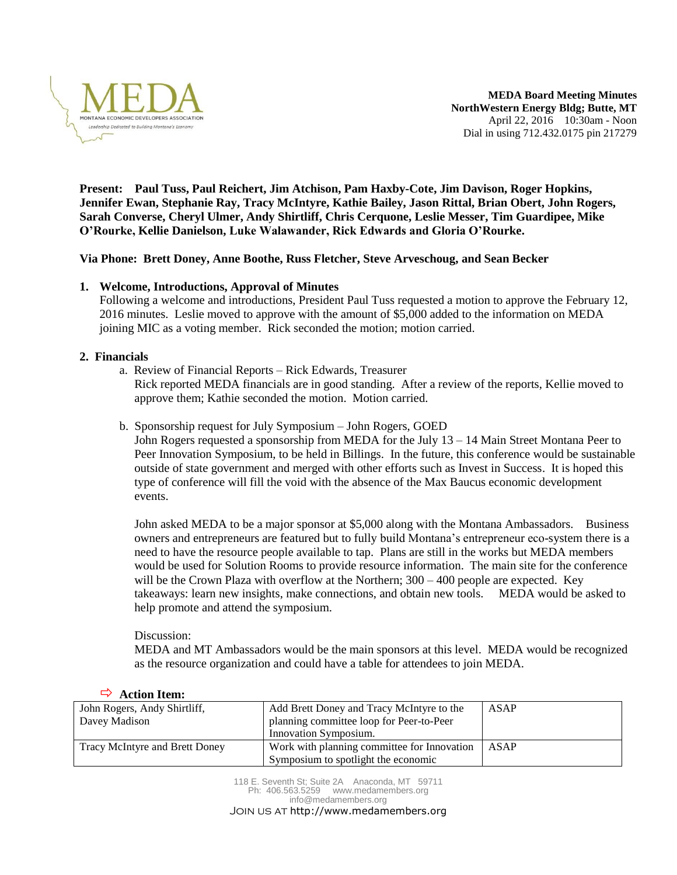

**MEDA Board Meeting Minutes NorthWestern Energy Bldg; Butte, MT** April 22, 2016 10:30am - Noon Dial in using 712.432.0175 pin 217279

**Present: Paul Tuss, Paul Reichert, Jim Atchison, Pam Haxby-Cote, Jim Davison, Roger Hopkins, Jennifer Ewan, Stephanie Ray, Tracy McIntyre, Kathie Bailey, Jason Rittal, Brian Obert, John Rogers, Sarah Converse, Cheryl Ulmer, Andy Shirtliff, Chris Cerquone, Leslie Messer, Tim Guardipee, Mike O'Rourke, Kellie Danielson, Luke Walawander, Rick Edwards and Gloria O'Rourke.**

## **Via Phone: Brett Doney, Anne Boothe, Russ Fletcher, Steve Arveschoug, and Sean Becker**

## **1. Welcome, Introductions, Approval of Minutes**

Following a welcome and introductions, President Paul Tuss requested a motion to approve the February 12, 2016 minutes. Leslie moved to approve with the amount of \$5,000 added to the information on MEDA joining MIC as a voting member. Rick seconded the motion; motion carried.

### **2. Financials**

- a. Review of Financial Reports Rick Edwards, Treasurer Rick reported MEDA financials are in good standing. After a review of the reports, Kellie moved to approve them; Kathie seconded the motion. Motion carried.
- b. Sponsorship request for July Symposium John Rogers, GOED

John Rogers requested a sponsorship from MEDA for the July 13 – 14 Main Street Montana Peer to Peer Innovation Symposium, to be held in Billings. In the future, this conference would be sustainable outside of state government and merged with other efforts such as Invest in Success. It is hoped this type of conference will fill the void with the absence of the Max Baucus economic development events.

John asked MEDA to be a major sponsor at \$5,000 along with the Montana Ambassadors. Business owners and entrepreneurs are featured but to fully build Montana's entrepreneur eco-system there is a need to have the resource people available to tap. Plans are still in the works but MEDA members would be used for Solution Rooms to provide resource information. The main site for the conference will be the Crown Plaza with overflow at the Northern;  $300 - 400$  people are expected. Key takeaways: learn new insights, make connections, and obtain new tools. MEDA would be asked to help promote and attend the symposium.

Discussion:

MEDA and MT Ambassadors would be the main sponsors at this level. MEDA would be recognized as the resource organization and could have a table for attendees to join MEDA.

| John Rogers, Andy Shirtliff,   | Add Brett Doney and Tracy McIntyre to the   | <b>ASAP</b> |
|--------------------------------|---------------------------------------------|-------------|
| Davey Madison                  | planning committee loop for Peer-to-Peer    |             |
|                                | Innovation Symposium.                       |             |
| Tracy McIntyre and Brett Doney | Work with planning committee for Innovation | ASAP        |
|                                | Symposium to spotlight the economic         |             |

### **Action Item:**

118 E. Seventh St; Suite 2A Anaconda, MT 59711 Ph: 406.563.5259 [www.medamembers.org](http://www.medamembers.org/) [info@medamembers.org](mailto:info@medamembers.org)

Join us at http://www.medamembers.org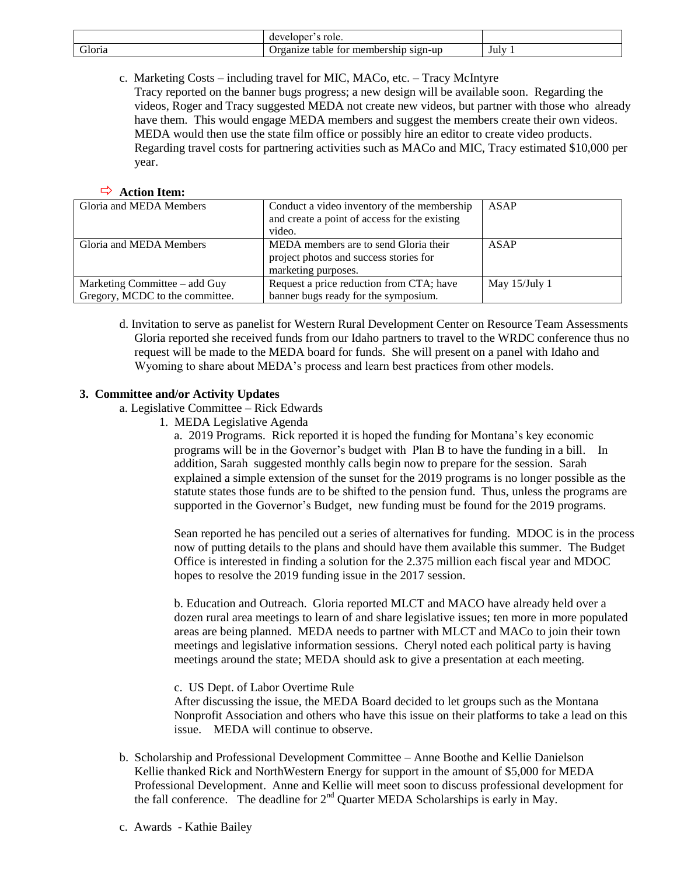|                         | role.<br>veloper?<br>$deV^c$                            |      |
|-------------------------|---------------------------------------------------------|------|
| $\sim$<br>doria<br>____ | membership<br>$S1Qn-UD$<br>Jr۶<br>anıze<br>table<br>tor | July |

c. Marketing Costs – including travel for MIC, MACo, etc. – Tracy McIntyre

Tracy reported on the banner bugs progress; a new design will be available soon. Regarding the videos, Roger and Tracy suggested MEDA not create new videos, but partner with those who already have them. This would engage MEDA members and suggest the members create their own videos. MEDA would then use the state film office or possibly hire an editor to create video products. Regarding travel costs for partnering activities such as MACo and MIC, Tracy estimated \$10,000 per year.

### **Action Item:**

| Gloria and MEDA Members         | Conduct a video inventory of the membership   | ASAP            |
|---------------------------------|-----------------------------------------------|-----------------|
|                                 | and create a point of access for the existing |                 |
|                                 | video.                                        |                 |
| Gloria and MEDA Members         | MEDA members are to send Gloria their         | ASAP            |
|                                 | project photos and success stories for        |                 |
|                                 | marketing purposes.                           |                 |
| Marketing Committee – add Guy   | Request a price reduction from CTA; have      | May $15/July 1$ |
| Gregory, MCDC to the committee. | banner bugs ready for the symposium.          |                 |

d. Invitation to serve as panelist for Western Rural Development Center on Resource Team Assessments Gloria reported she received funds from our Idaho partners to travel to the WRDC conference thus no request will be made to the MEDA board for funds. She will present on a panel with Idaho and Wyoming to share about MEDA's process and learn best practices from other models.

## **3. Committee and/or Activity Updates**

a. Legislative Committee – Rick Edwards

1. MEDA Legislative Agenda

a. 2019 Programs. Rick reported it is hoped the funding for Montana's key economic programs will be in the Governor's budget with Plan B to have the funding in a bill. In addition, Sarah suggested monthly calls begin now to prepare for the session. Sarah explained a simple extension of the sunset for the 2019 programs is no longer possible as the statute states those funds are to be shifted to the pension fund. Thus, unless the programs are supported in the Governor's Budget, new funding must be found for the 2019 programs.

Sean reported he has penciled out a series of alternatives for funding. MDOC is in the process now of putting details to the plans and should have them available this summer. The Budget Office is interested in finding a solution for the 2.375 million each fiscal year and MDOC hopes to resolve the 2019 funding issue in the 2017 session.

b. Education and Outreach. Gloria reported MLCT and MACO have already held over a dozen rural area meetings to learn of and share legislative issues; ten more in more populated areas are being planned. MEDA needs to partner with MLCT and MACo to join their town meetings and legislative information sessions. Cheryl noted each political party is having meetings around the state; MEDA should ask to give a presentation at each meeting.

c. US Dept. of Labor Overtime Rule

After discussing the issue, the MEDA Board decided to let groups such as the Montana Nonprofit Association and others who have this issue on their platforms to take a lead on this issue. MEDA will continue to observe.

b. Scholarship and Professional Development Committee – Anne Boothe and Kellie Danielson Kellie thanked Rick and NorthWestern Energy for support in the amount of \$5,000 for MEDA Professional Development. Anne and Kellie will meet soon to discuss professional development for the fall conference. The deadline for  $2<sup>nd</sup>$  Quarter MEDA Scholarships is early in May.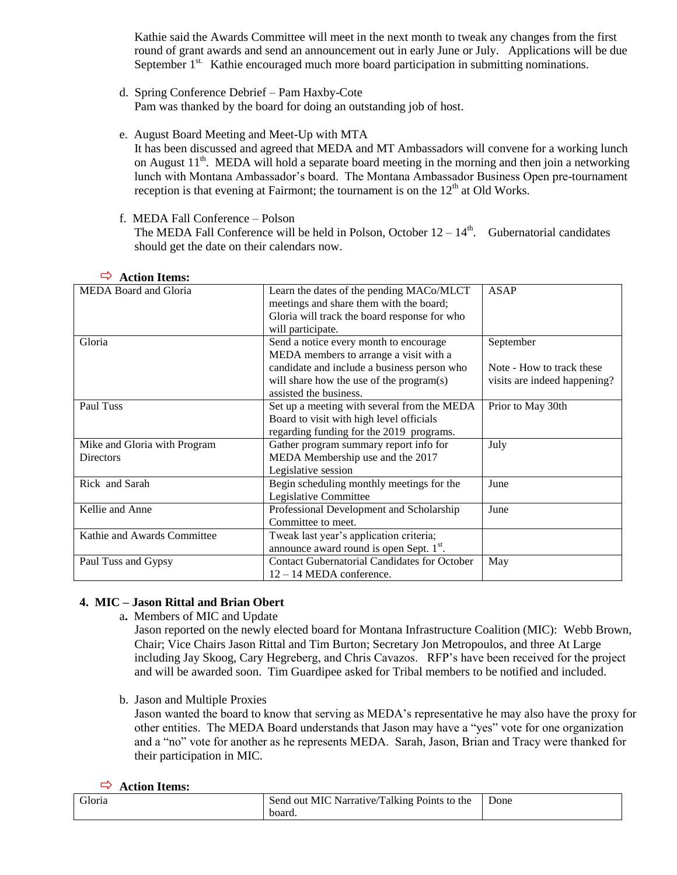Kathie said the Awards Committee will meet in the next month to tweak any changes from the first round of grant awards and send an announcement out in early June or July. Applications will be due September 1<sup>st.</sup> Kathie encouraged much more board participation in submitting nominations.

- d. Spring Conference Debrief Pam Haxby-Cote Pam was thanked by the board for doing an outstanding job of host.
- e. August Board Meeting and Meet-Up with MTA

It has been discussed and agreed that MEDA and MT Ambassadors will convene for a working lunch on August  $11<sup>th</sup>$ . MEDA will hold a separate board meeting in the morning and then join a networking lunch with Montana Ambassador's board. The Montana Ambassador Business Open pre-tournament reception is that evening at Fairmont; the tournament is on the  $12<sup>th</sup>$  at Old Works.

f. MEDA Fall Conference – Polson

The MEDA Fall Conference will be held in Polson, October  $12-14<sup>th</sup>$ . Gubernatorial candidates should get the date on their calendars now.

| ACHOIL LIEINS:               |                                                      |                              |
|------------------------------|------------------------------------------------------|------------------------------|
| <b>MEDA Board and Gloria</b> | Learn the dates of the pending MACo/MLCT             | ASAP                         |
|                              | meetings and share them with the board;              |                              |
|                              | Gloria will track the board response for who         |                              |
|                              | will participate.                                    |                              |
| Gloria                       | Send a notice every month to encourage               | September                    |
|                              | MEDA members to arrange a visit with a               |                              |
|                              | candidate and include a business person who          | Note - How to track these    |
|                              | will share how the use of the program(s)             | visits are indeed happening? |
|                              | assisted the business.                               |                              |
| Paul Tuss                    | Set up a meeting with several from the MEDA          | Prior to May 30th            |
|                              | Board to visit with high level officials             |                              |
|                              | regarding funding for the 2019 programs.             |                              |
| Mike and Gloria with Program | Gather program summary report info for               | July                         |
| Directors                    | MEDA Membership use and the 2017                     |                              |
|                              | Legislative session                                  |                              |
| Rick and Sarah               | Begin scheduling monthly meetings for the            | June                         |
|                              | Legislative Committee                                |                              |
| Kellie and Anne              | Professional Development and Scholarship             | June                         |
|                              | Committee to meet.                                   |                              |
| Kathie and Awards Committee  | Tweak last year's application criteria;              |                              |
|                              | announce award round is open Sept. 1 <sup>st</sup> . |                              |
| Paul Tuss and Gypsy          | <b>Contact Gubernatorial Candidates for October</b>  | May                          |
|                              | $12 - 14$ MEDA conference.                           |                              |
|                              |                                                      |                              |

## **Action Items:**

# **4. MIC – Jason Rittal and Brian Obert**

a**.** Members of MIC and Update

Jason reported on the newly elected board for Montana Infrastructure Coalition (MIC): Webb Brown, Chair; Vice Chairs Jason Rittal and Tim Burton; Secretary Jon Metropoulos, and three At Large including Jay Skoog, Cary Hegreberg, and Chris Cavazos. RFP's have been received for the project and will be awarded soon. Tim Guardipee asked for Tribal members to be notified and included.

b. Jason and Multiple Proxies

Jason wanted the board to know that serving as MEDA's representative he may also have the proxy for other entities. The MEDA Board understands that Jason may have a "yes" vote for one organization and a "no" vote for another as he represents MEDA. Sarah, Jason, Brian and Tracy were thanked for their participation in MIC.

## **Action Items:**

| Gloria | t MIC Narrative/Talking Points to the<br>Send out | Done |
|--------|---------------------------------------------------|------|
|        | board.                                            |      |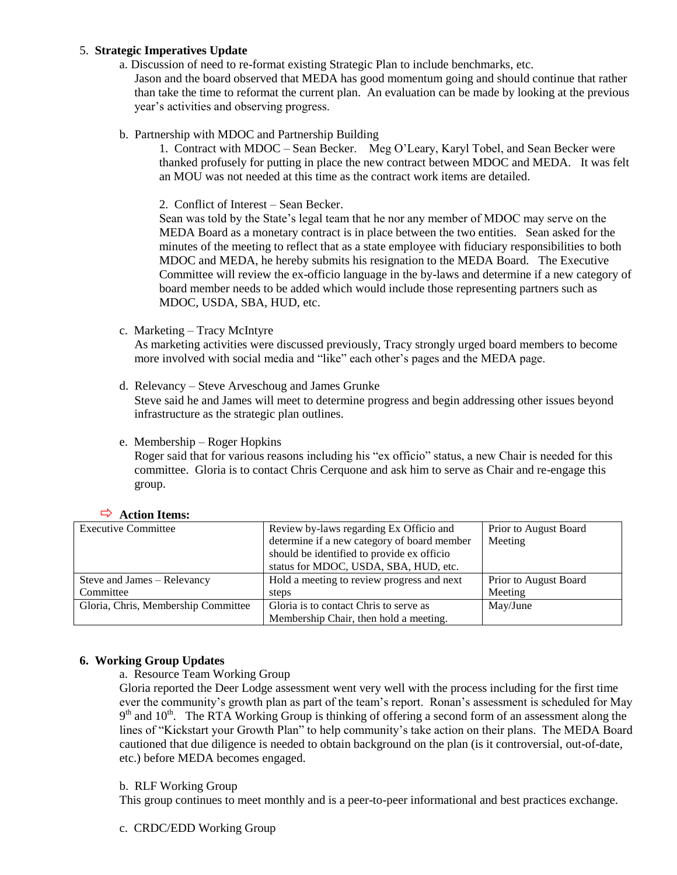## 5. **Strategic Imperatives Update**

a. Discussion of need to re-format existing Strategic Plan to include benchmarks, etc.

Jason and the board observed that MEDA has good momentum going and should continue that rather than take the time to reformat the current plan. An evaluation can be made by looking at the previous year's activities and observing progress.

b. Partnership with MDOC and Partnership Building

1. Contract with MDOC – Sean Becker. Meg O'Leary, Karyl Tobel, and Sean Becker were thanked profusely for putting in place the new contract between MDOC and MEDA. It was felt an MOU was not needed at this time as the contract work items are detailed.

2. Conflict of Interest – Sean Becker.

Sean was told by the State's legal team that he nor any member of MDOC may serve on the MEDA Board as a monetary contract is in place between the two entities. Sean asked for the minutes of the meeting to reflect that as a state employee with fiduciary responsibilities to both MDOC and MEDA, he hereby submits his resignation to the MEDA Board. The Executive Committee will review the ex-officio language in the by-laws and determine if a new category of board member needs to be added which would include those representing partners such as MDOC, USDA, SBA, HUD, etc.

c. Marketing – Tracy McIntyre

As marketing activities were discussed previously, Tracy strongly urged board members to become more involved with social media and "like" each other's pages and the MEDA page.

- d. Relevancy Steve Arveschoug and James Grunke Steve said he and James will meet to determine progress and begin addressing other issues beyond infrastructure as the strategic plan outlines.
- e. Membership Roger Hopkins

Roger said that for various reasons including his "ex officio" status, a new Chair is needed for this committee. Gloria is to contact Chris Cerquone and ask him to serve as Chair and re-engage this group.

|  | $\rightarrow$ Action Items: |  |
|--|-----------------------------|--|
|--|-----------------------------|--|

| <b>Executive Committee</b>          | Review by-laws regarding Ex Officio and     | Prior to August Board |
|-------------------------------------|---------------------------------------------|-----------------------|
|                                     | determine if a new category of board member | Meeting               |
|                                     | should be identified to provide ex officio  |                       |
|                                     | status for MDOC, USDA, SBA, HUD, etc.       |                       |
| Steve and James - Relevancy         | Hold a meeting to review progress and next  | Prior to August Board |
| Committee                           | steps                                       | Meeting               |
| Gloria, Chris, Membership Committee | Gloria is to contact Chris to serve as      | May/June              |
|                                     | Membership Chair, then hold a meeting.      |                       |

## **6. Working Group Updates**

a. Resource Team Working Group

Gloria reported the Deer Lodge assessment went very well with the process including for the first time ever the community's growth plan as part of the team's report. Ronan's assessment is scheduled for May 9<sup>th</sup> and 10<sup>th</sup>. The RTA Working Group is thinking of offering a second form of an assessment along the lines of "Kickstart your Growth Plan" to help community's take action on their plans. The MEDA Board cautioned that due diligence is needed to obtain background on the plan (is it controversial, out-of-date, etc.) before MEDA becomes engaged.

## b. RLF Working Group

This group continues to meet monthly and is a peer-to-peer informational and best practices exchange.

c. CRDC/EDD Working Group